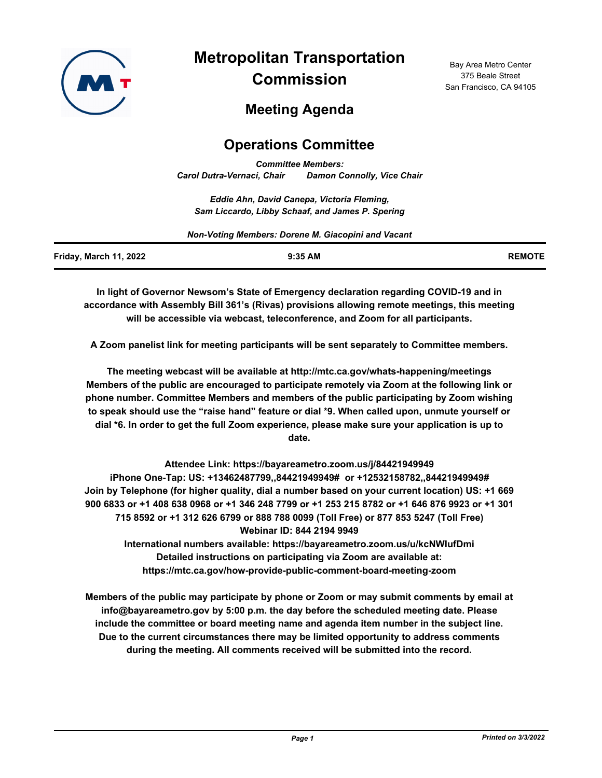

**Metropolitan Transportation Commission**

Bay Area Metro Center 375 Beale Street San Francisco, CA 94105

# **Meeting Agenda**

# **Operations Committee**

*Committee Members: Carol Dutra-Vernaci, Chair Damon Connolly, Vice Chair*

*Eddie Ahn, David Canepa, Victoria Fleming, Sam Liccardo, Libby Schaaf, and James P. Spering*

| Non-Voting Members: Dorene M. Giacopini and Vacant |           |               |  |
|----------------------------------------------------|-----------|---------------|--|
| Friday, March 11, 2022                             | $9:35$ AM | <b>REMOTE</b> |  |

**In light of Governor Newsom's State of Emergency declaration regarding COVID-19 and in accordance with Assembly Bill 361's (Rivas) provisions allowing remote meetings, this meeting will be accessible via webcast, teleconference, and Zoom for all participants.**

**A Zoom panelist link for meeting participants will be sent separately to Committee members.**

**The meeting webcast will be available at http://mtc.ca.gov/whats-happening/meetings Members of the public are encouraged to participate remotely via Zoom at the following link or phone number. Committee Members and members of the public participating by Zoom wishing to speak should use the "raise hand" feature or dial \*9. When called upon, unmute yourself or dial \*6. In order to get the full Zoom experience, please make sure your application is up to date.**

**Attendee Link: https://bayareametro.zoom.us/j/84421949949 iPhone One-Tap: US: +13462487799,,84421949949# or +12532158782,,84421949949# Join by Telephone (for higher quality, dial a number based on your current location) US: +1 669 900 6833 or +1 408 638 0968 or +1 346 248 7799 or +1 253 215 8782 or +1 646 876 9923 or +1 301 715 8592 or +1 312 626 6799 or 888 788 0099 (Toll Free) or 877 853 5247 (Toll Free) Webinar ID: 844 2194 9949 International numbers available: https://bayareametro.zoom.us/u/kcNWIufDmi**

**Detailed instructions on participating via Zoom are available at: https://mtc.ca.gov/how-provide-public-comment-board-meeting-zoom**

**Members of the public may participate by phone or Zoom or may submit comments by email at info@bayareametro.gov by 5:00 p.m. the day before the scheduled meeting date. Please include the committee or board meeting name and agenda item number in the subject line. Due to the current circumstances there may be limited opportunity to address comments during the meeting. All comments received will be submitted into the record.**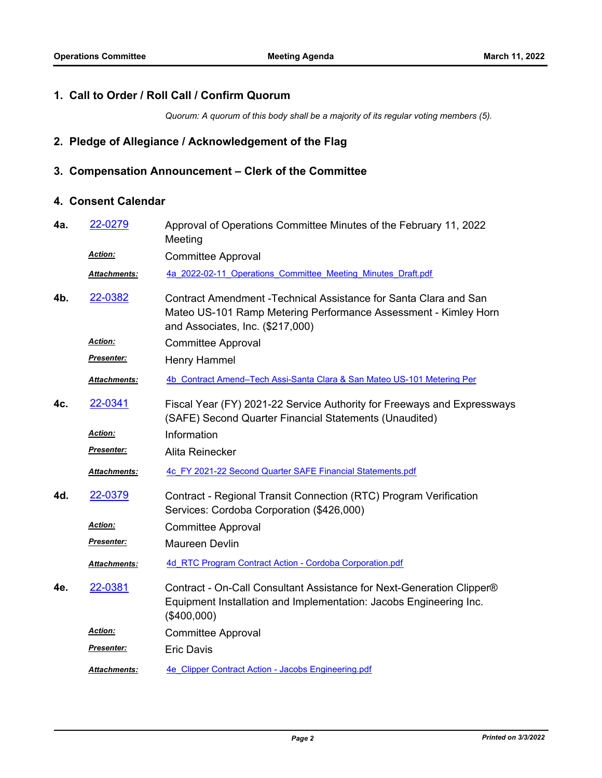#### **1. Call to Order / Roll Call / Confirm Quorum**

*Quorum: A quorum of this body shall be a majority of its regular voting members (5).*

## **2. Pledge of Allegiance / Acknowledgement of the Flag**

# **3. Compensation Announcement – Clerk of the Committee**

## **4. Consent Calendar**

| 4а. | 22-0279             | Approval of Operations Committee Minutes of the February 11, 2022<br>Meeting                                                                                             |
|-----|---------------------|--------------------------------------------------------------------------------------------------------------------------------------------------------------------------|
|     | <b>Action:</b>      | <b>Committee Approval</b>                                                                                                                                                |
|     | Attachments:        | 4a 2022-02-11 Operations Committee Meeting Minutes Draft.pdf                                                                                                             |
| 4b. | 22-0382             | Contract Amendment - Technical Assistance for Santa Clara and San<br>Mateo US-101 Ramp Metering Performance Assessment - Kimley Horn<br>and Associates, Inc. (\$217,000) |
|     | Action:             | <b>Committee Approval</b>                                                                                                                                                |
|     | Presenter:          | Henry Hammel                                                                                                                                                             |
|     | Attachments:        | 4b Contract Amend-Tech Assi-Santa Clara & San Mateo US-101 Metering Per                                                                                                  |
| 4c. | 22-0341             | Fiscal Year (FY) 2021-22 Service Authority for Freeways and Expressways<br>(SAFE) Second Quarter Financial Statements (Unaudited)                                        |
|     | Action:             | Information                                                                                                                                                              |
|     | <b>Presenter:</b>   | Alita Reinecker                                                                                                                                                          |
|     | Attachments:        | 4c FY 2021-22 Second Quarter SAFE Financial Statements.pdf                                                                                                               |
| 4d. | 22-0379             | Contract - Regional Transit Connection (RTC) Program Verification<br>Services: Cordoba Corporation (\$426,000)                                                           |
|     | Action:             | <b>Committee Approval</b>                                                                                                                                                |
|     | Presenter:          | Maureen Devlin                                                                                                                                                           |
|     | Attachments:        | 4d RTC Program Contract Action - Cordoba Corporation.pdf                                                                                                                 |
| 4e. | 22-0381             | Contract - On-Call Consultant Assistance for Next-Generation Clipper®<br>Equipment Installation and Implementation: Jacobs Engineering Inc.<br>(\$400,000)               |
|     | Action:             | <b>Committee Approval</b>                                                                                                                                                |
|     | <u>Presenter:</u>   | <b>Eric Davis</b>                                                                                                                                                        |
|     | <b>Attachments:</b> | 4e Clipper Contract Action - Jacobs Engineering.pdf                                                                                                                      |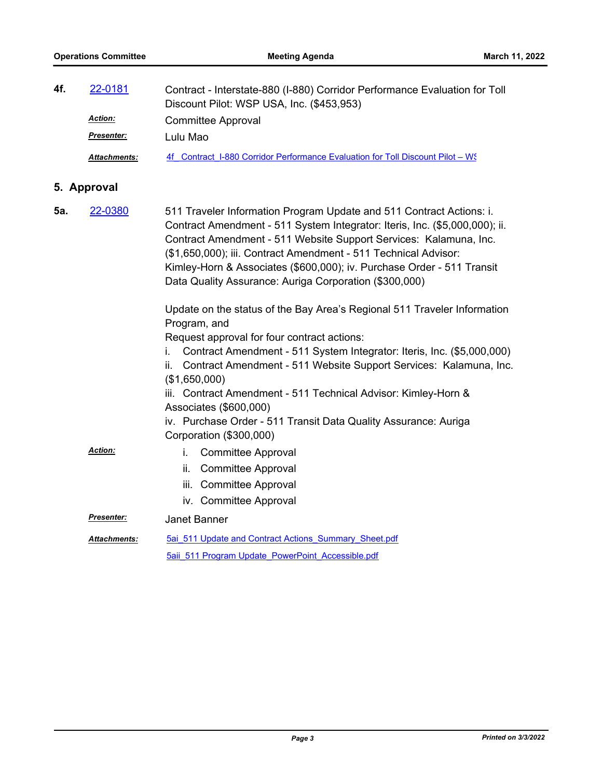| 4f. | 22-0181             | Contract - Interstate-880 (I-880) Corridor Performance Evaluation for Toll<br>Discount Pilot: WSP USA, Inc. (\$453,953) |  |
|-----|---------------------|-------------------------------------------------------------------------------------------------------------------------|--|
|     | <b>Action:</b>      | Committee Approval                                                                                                      |  |
|     | <b>Presenter:</b>   | Lulu Mao                                                                                                                |  |
|     | <b>Attachments:</b> | 4f Contract I-880 Corridor Performance Evaluation for Toll Discount Pilot – W.                                          |  |

# **5. Approval**

| 5а. | 22-0380             | 511 Traveler Information Program Update and 511 Contract Actions: i.<br>Contract Amendment - 511 System Integrator: Iteris, Inc. (\$5,000,000); ii.<br>Contract Amendment - 511 Website Support Services: Kalamuna, Inc.<br>(\$1,650,000); iii. Contract Amendment - 511 Technical Advisor:<br>Kimley-Horn & Associates (\$600,000); iv. Purchase Order - 511 Transit<br>Data Quality Assurance: Auriga Corporation (\$300,000) |  |
|-----|---------------------|---------------------------------------------------------------------------------------------------------------------------------------------------------------------------------------------------------------------------------------------------------------------------------------------------------------------------------------------------------------------------------------------------------------------------------|--|
|     |                     | Update on the status of the Bay Area's Regional 511 Traveler Information<br>Program, and<br>Request approval for four contract actions:                                                                                                                                                                                                                                                                                         |  |
|     |                     | Contract Amendment - 511 System Integrator: Iteris, Inc. (\$5,000,000)<br>İ.<br>Contract Amendment - 511 Website Support Services: Kalamuna, Inc.<br>ii.<br>(\$1,650,000)                                                                                                                                                                                                                                                       |  |
|     |                     | iii. Contract Amendment - 511 Technical Advisor: Kimley-Horn &<br>Associates (\$600,000)                                                                                                                                                                                                                                                                                                                                        |  |
|     |                     | iv. Purchase Order - 511 Transit Data Quality Assurance: Auriga<br>Corporation (\$300,000)                                                                                                                                                                                                                                                                                                                                      |  |
|     | <b>Action:</b>      | i.<br><b>Committee Approval</b><br><b>Committee Approval</b><br>ii.<br>iii.<br><b>Committee Approval</b>                                                                                                                                                                                                                                                                                                                        |  |
|     |                     | iv. Committee Approval                                                                                                                                                                                                                                                                                                                                                                                                          |  |
|     | Presenter:          | Janet Banner                                                                                                                                                                                                                                                                                                                                                                                                                    |  |
|     | <b>Attachments:</b> | 5ai 511 Update and Contract Actions Summary Sheet.pdf<br>5aii 511 Program Update PowerPoint Accessible.pdf                                                                                                                                                                                                                                                                                                                      |  |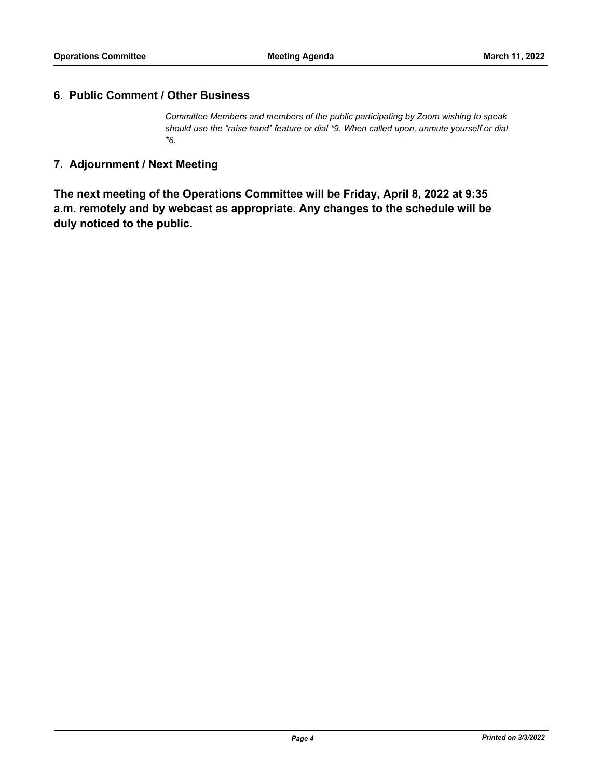#### **6. Public Comment / Other Business**

*Committee Members and members of the public participating by Zoom wishing to speak should use the "raise hand" feature or dial \*9. When called upon, unmute yourself or dial \*6.*

## **7. Adjournment / Next Meeting**

**The next meeting of the Operations Committee will be Friday, April 8, 2022 at 9:35 a.m. remotely and by webcast as appropriate. Any changes to the schedule will be duly noticed to the public.**